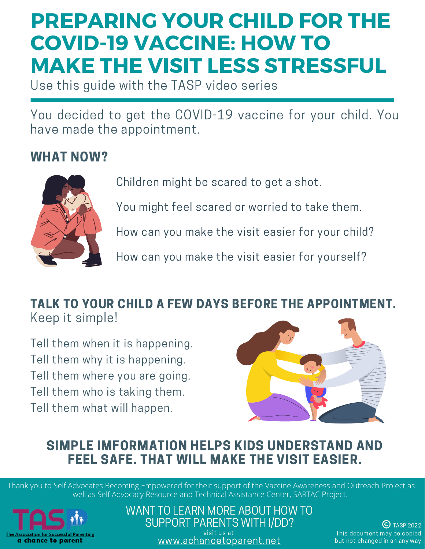## **PREPARING YOUR CHILD FOR THE COVID-19 VACCINE: HOW TO MAKE THE VISIT LESS STRESSFUL**

Use this guide with the TASP video series

You decided to get the COVID-19 vaccine for your child. You have made the appointment.

### WHAT NOW?



Children might be scared to get a shot.

You might feel scared or worried to take them.

How can you make the visit easier for your child?

How can you make the visit easier for yourself?

#### TALK TO YOUR CHILD A FEW DAYS BEFORE THE APPOINTMENT. Keep it simple!

Tell them when it is happening. Tell them why it is happening. Tell them where you are going. Tell them who is taking them. Tell them what will happen.



#### SIMPLE IMFORMATION HELPS KIDS UNDERSTAND AND FEEL SAFE. THAT WILL MAKE THE VISIT EASIER.

Thank you to Self Advocates Becoming Empowered for their support of the Vaccine Awareness and Outreach Project as well as Self Advocacy Resource and Technical Assistance Center, SARTAC Project.



WANT TO LEARN MORE ABOUT HOW TO SUPPORT PARENTS WITH I/DD? visit us at [www.achancetoparent.net](http://www.achancetoparent.net/)

 $(C)$  TASP 2022 This document may be copied but not changed in an any way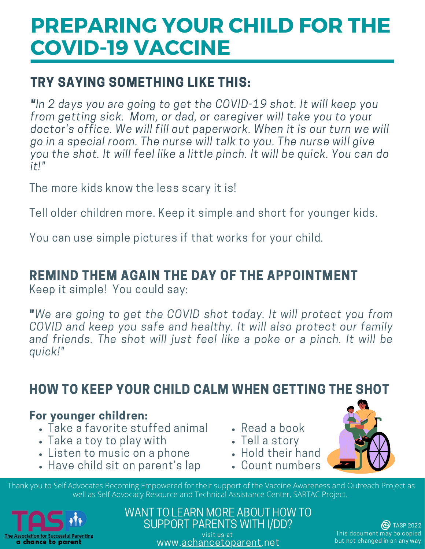### TRY SAYING SOMETHING LIKE THIS:

**TRY SAYING SOMETHING LIKE THIS:**<br>"In 2 days you are going to get the COVID-19 shot. It will keep you form the COVID-19 shot. It will keep you.<br>It also the COVID-19 shot. It will keep your<br>It ake you to your take your or the will take you to your "In 2 day<br>from get<br>dectar's s you are going to get the COVID-19 shot. It will keep you<br>ting sick. Mom, or dad, or caregiver will take you to your<br>office. We will fill out paperwork. When it is our turn we will m getting sick. Mom, or dad, or caregiver will take you to your<br>ctor's office. We will fill out paperwork. When it is our turn we v<br>in a special room. The nurse will talk to you. The nurse will give doc tor's office. We will fill out paperwork. When it is our turn we will<br>n a special room. The nurse will talk to you. The nurse will give<br>the shot. It will feel like a little pinch. It will be quick. You can do go  $i f$ !"

The more kids know the less scary it is!

Tell older children more. Keep it simple and short for younger kids.

You can use simple pictures if that works for your child.

### REMIND THEM AGAIN THE DAY OF THE APPOINTMENT

Keep it simple! You could say:

Keep it simple! You could say:<br>"We are going to get the COVID shot today. It will protect you from Covid<br>Covid-Covid-Covid-Covid-Covid-Covid-Covid-Covid-Covid-Covid-Covid-Covid-Covid-Covid-Covid-Covid-Covid-Covid-Co e going to get the COVID shot today. It will protect you from<br>and keep you safe and healthy. It will also protect our family  $\mathsf{v}$ are going to get the COVID shot today. It will protect you from<br>'ID and keep you safe and healthy. It will also protect our family<br>friends. The shot will iust feel like a poke or a pinch. It will be COVID quick!"

#### HOW TO KEEP YOUR CHILD CALM WHEN GETTING THE SHOT

#### For younger children:

- Take a favorite stuffed animal
- Take a toy to play with
- Listen to music on a phone
- Have child sit on parent's lap
- Read a book
- Tell a story
- Hold their hand
- Count numbers

Thank you to Self Advocates Becoming Empowered for their support of the Vaccine Awareness and Outreach Project as well as Self Advocacy Resource and Technical Assistance Center, SARTAC Project.



WANT TO LEARN MORE ABOUT HOW TO SUPPORT PARENTS WITH I/DD? visit us at www.[achancetoparent](http://www.achancetoparent.net/).net

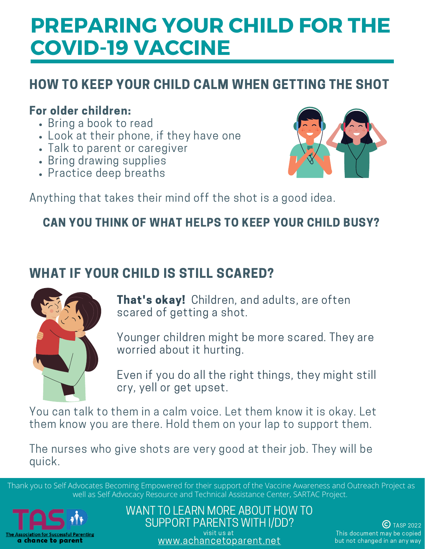## HOW TO KEEP YOUR CHILD CALM WHEN GETTING THE SHOT

#### For older children:

- Bring a book to read
- Look at their phone, if they have one
- Talk to parent or caregiver
- Bring drawing supplies
- Practice deep breaths



Anything that takes their mind off the shot is a good idea.

### CAN YOU THINK OF WHAT HELPS TO KEEP YOUR CHILD BUSY?

## WHAT IF YOUR CHILD IS STILL SCARED?



That's okay! Children, and adults, are often scared of getting a shot.

Younger children might be more scared. They are worried about it hurting.

Even if you do all the right things, they might still cry, yell or get upset.

You can talk to them in a calm voice. Let them know it is okay. Let them know you are there. Hold them on your lap to support them.

The nurses who give shots are very good at their job. They will be quick.

Thank you to Self Advocates Becoming Empowered for their support of the Vaccine Awareness and Outreach Project as well as Self Advocacy Resource and Technical Assistance Center, SARTAC Project.



WANT TO LEARN MORE ABOUT HOW TO SUPPORT PARENTS WITH I/DD? visit us at [www.achancetoparent.net](http://www.achancetoparent.net/)

 $(C)$  TASP 2022 This document may be copied but not changed in an any way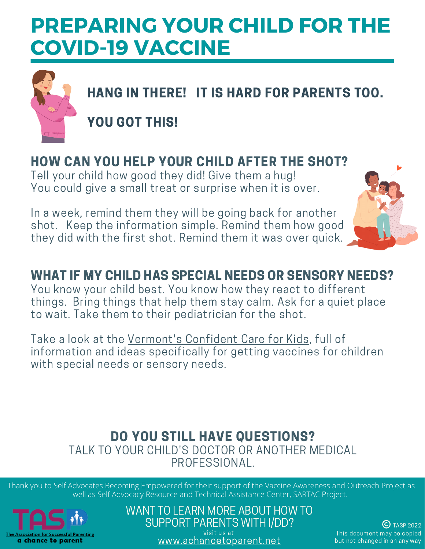

HANG IN THERE! IT IS HARD FOR PARENTS TOO.

YOU GOT THIS!

## HOW CAN YOU HELP YOUR CHILD AFTER THE SHOT?

Tell your child how good they did! Give them a hug! You could give a small treat or surprise when it is over.

In a week, remind them they will be going back for another shot. Keep the information simple. Remind them how good they did with the first shot. Remind them it was over quick.



## WHAT IF MY CHILD HAS SPECIAL NEEDS OR SENSORY NEEDS?

You know your child best. You know how they react to different things. Bring things that help them stay calm. Ask for a quiet place to wait. Take them to their pediatrician for the shot.

Take a look at the [Vermont's](https://www.vermontfamilynetwork.org/ccfk/) Confident Care for Kids, full of information and ideas specifically for getting vaccines for children with special needs or sensory needs.

#### DO YOU STILL HAVE QUESTIONS? TALK TO YOUR CHILD'S DOCTOR OR ANOTHER MEDICAL PROFESSIONAL.

Thank you to Self Advocates Becoming Empowered for their support of the Vaccine Awareness and Outreach Project as well as Self Advocacy Resource and Technical Assistance Center, SARTAC Project.



WANT TO LEARN MORE ABOUT HOW TO SUPPORT PARENTS WITH I/DD?

visit us at [www.achancetoparent.net](http://www.achancetoparent.net/)

 $\bigodot$  TASP 2022 This document may be copied but not changed in an any way